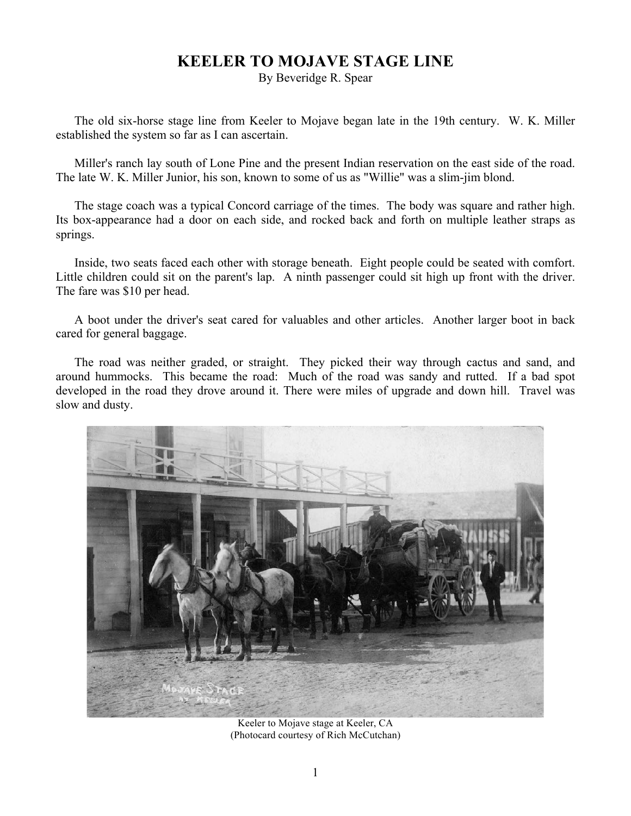## **KEELER TO MOJAVE STAGE LINE**

By Beveridge R. Spear

The old six-horse stage line from Keeler to Mojave began late in the 19th century. W. K. Miller established the system so far as I can ascertain.

Miller's ranch lay south of Lone Pine and the present Indian reservation on the east side of the road. The late W. K. Miller Junior, his son, known to some of us as "Willie" was a slim-jim blond.

The stage coach was a typical Concord carriage of the times. The body was square and rather high. Its box-appearance had a door on each side, and rocked back and forth on multiple leather straps as springs.

Inside, two seats faced each other with storage beneath. Eight people could be seated with comfort. Little children could sit on the parent's lap. A ninth passenger could sit high up front with the driver. The fare was \$10 per head.

A boot under the driver's seat cared for valuables and other articles. Another larger boot in back cared for general baggage.

The road was neither graded, or straight. They picked their way through cactus and sand, and around hummocks. This became the road: Much of the road was sandy and rutted. If a bad spot developed in the road they drove around it. There were miles of upgrade and down hill. Travel was slow and dusty.



Keeler to Mojave stage at Keeler, CA (Photocard courtesy of Rich McCutchan)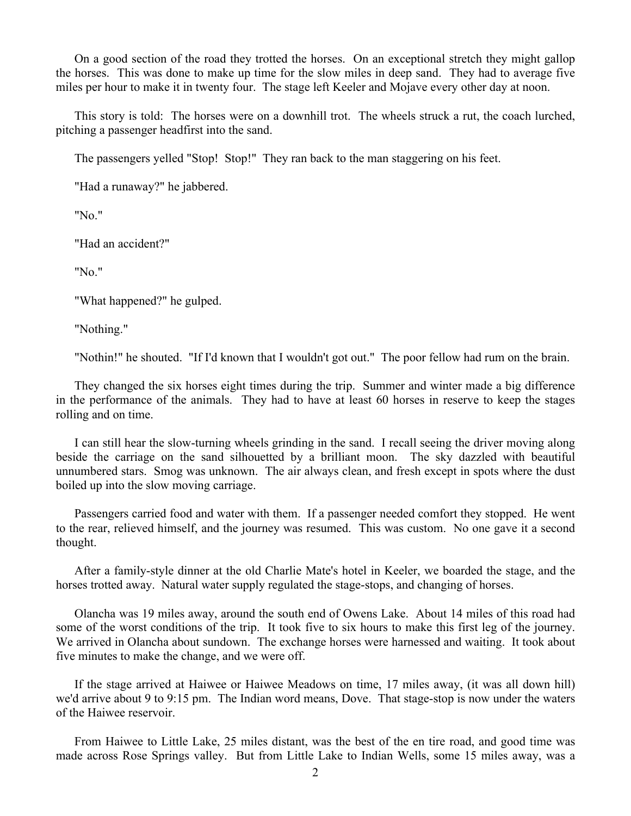On a good section of the road they trotted the horses. On an exceptional stretch they might gallop the horses. This was done to make up time for the slow miles in deep sand. They had to average five miles per hour to make it in twenty four. The stage left Keeler and Mojave every other day at noon.

This story is told: The horses were on a downhill trot. The wheels struck a rut, the coach lurched, pitching a passenger headfirst into the sand.

The passengers yelled "Stop! Stop!" They ran back to the man staggering on his feet.

"Had a runaway?" he jabbered.

"No."

"Had an accident?"

"No."

"What happened?" he gulped.

"Nothing."

"Nothin!" he shouted. "If I'd known that I wouldn't got out." The poor fellow had rum on the brain.

They changed the six horses eight times during the trip. Summer and winter made a big difference in the performance of the animals. They had to have at least 60 horses in reserve to keep the stages rolling and on time.

I can still hear the slow-turning wheels grinding in the sand. I recall seeing the driver moving along beside the carriage on the sand silhouetted by a brilliant moon. The sky dazzled with beautiful unnumbered stars. Smog was unknown. The air always clean, and fresh except in spots where the dust boiled up into the slow moving carriage.

Passengers carried food and water with them. If a passenger needed comfort they stopped. He went to the rear, relieved himself, and the journey was resumed. This was custom. No one gave it a second thought.

After a family-style dinner at the old Charlie Mate's hotel in Keeler, we boarded the stage, and the horses trotted away. Natural water supply regulated the stage-stops, and changing of horses.

Olancha was 19 miles away, around the south end of Owens Lake. About 14 miles of this road had some of the worst conditions of the trip. It took five to six hours to make this first leg of the journey. We arrived in Olancha about sundown. The exchange horses were harnessed and waiting. It took about five minutes to make the change, and we were off.

If the stage arrived at Haiwee or Haiwee Meadows on time, 17 miles away, (it was all down hill) we'd arrive about 9 to 9:15 pm. The Indian word means, Dove. That stage-stop is now under the waters of the Haiwee reservoir.

From Haiwee to Little Lake, 25 miles distant, was the best of the en tire road, and good time was made across Rose Springs valley. But from Little Lake to Indian Wells, some 15 miles away, was a